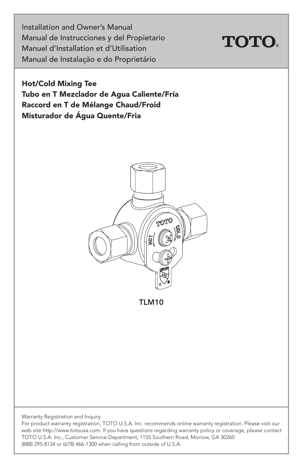Installation and Owner's Manual Manual de Instrucciones y del Propietario Manuel d'Installation et d'Utilisation Manual de Instalação e do Proprietário



Hot/Cold Mixing Tee Tubo en T Mezclador de Agua Caliente/Fría Raccord en T de Mélange Chaud/Froid Misturador de Água Quente/Fria



TLM10

Warranty Registration and Inquiry

For product warranty registration, TOTO U.S.A. Inc. recommends online warranty registration. Please visit our web site http://www.totousa.com. If you have questions regarding warranty policy or coverage, please contact TOTO U.S.A. Inc., Customer Service Department, 1155 Southern Road, Morrow, GA 30260 (888) 295-8134 or (678) 466-1300 when calling from outside of U.S.A.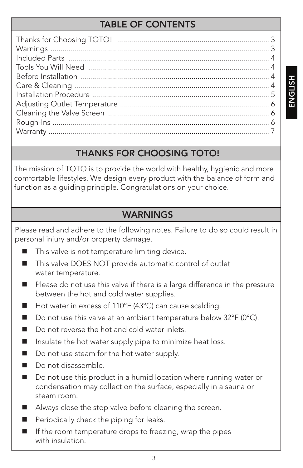#### TABLE OF CONTENTS

#### THANKS FOR CHOOSING TOTO!

The mission of TOTO is to provide the world with healthy, hygienic and more comfortable lifestyles. We design every product with the balance of form and function as a guiding principle. Congratulations on your choice.

#### WARNINGS

Please read and adhere to the following notes. Failure to do so could result in personal injury and/or property damage.

- This valve is not temperature limiting device.
- This valve DOES NOT provide automatic control of outlet water temperature.
- Please do not use this valve if there is a large difference in the pressure between the hot and cold water supplies.
- Hot water in excess of 110°F (43°C) can cause scalding.
- Do not use this valve at an ambient temperature below  $32^{\circ}F(0^{\circ}C)$ .
- Do not reverse the hot and cold water inlets.
- $\blacksquare$  Insulate the hot water supply pipe to minimize heat loss.
- Do not use steam for the hot water supply.
- Do not disassemble.
- Do not use this product in a humid location where running water or condensation may collect on the surface, especially in a sauna or steam room.
- Always close the stop valve before cleaning the screen.
- Periodically check the piping for leaks.
- $\blacksquare$  If the room temperature drops to freezing, wrap the pipes with insulation.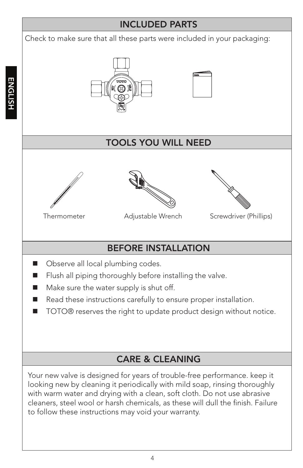#### INCLUDED PARTS

Check to make sure that all these parts were included in your packaging:







#### TOOLS YOU WILL NEED







Thermometer Adjustable Wrench Screwdriver (Phillips)

# BEFORE INSTALLATION

- Observe all local plumbing codes.
- $\blacksquare$  Flush all piping thoroughly before installing the valve.
- $\blacksquare$  Make sure the water supply is shut off.
- Read these instructions carefully to ensure proper installation.
- TOTO® reserves the right to update product design without notice.

#### CARE & CLEANING

Your new valve is designed for years of trouble-free performance. keep it looking new by cleaning it periodically with mild soap, rinsing thoroughly with warm water and drying with a clean, soft cloth. Do not use abrasive cleaners, steel wool or harsh chemicals, as these will dull the finish. Failure to follow these instructions may void your warranty.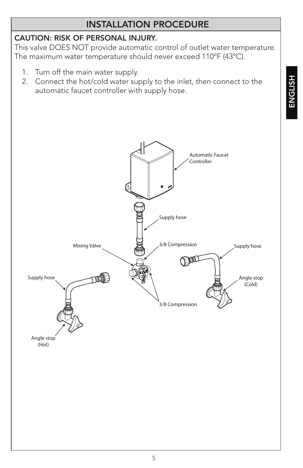#### INSTALLATION PROCEDURE

#### CAUTION: RISK OF PERSONAL INJURY.

This valve DOES NOT provide automatic control of outlet water temperature. The maximum water temperature should never exceed 110ºF (43°C).

- 1. Turn off the main water supply.
- 2. Connect the hot/cold water supply to the inlet, then connect to the automatic faucet controller with supply hose.

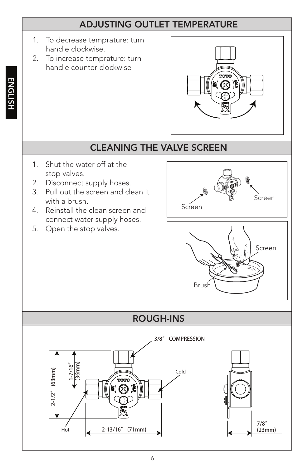#### ADJUSTING OUTLET TEMPERATURE

- 1. To decrease temprature: turn handle clockwise.
- 2. To increase temprature: turn handle counter-clockwise



#### CLEANING THE VALVE SCREEN

- 1. Shut the water off at the stop valves.
- 2. Disconnect supply hoses.
- 3. Pull out the screen and clean it with a brush.
- 4. Reinstall the clean screen and connect water supply hoses.
- 5. Open the stop valves.





# ROUGH-INS

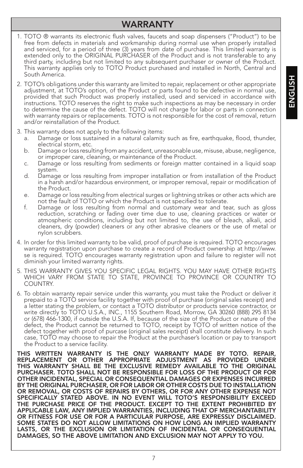#### WARRANTY

- 1. TOTO ® warrants its electronic flush valves, faucets and soap dispensers ("Product") to be free from defects in materials and workmanship during normal use when properly installed and serviced, for a period of three (3) years from date of purchase. This limited warranty is extended only to the ORIGINAL PURCHASER of the Product and is not transferable to any third party, including but not limited to any subsequent purchaser or owner of the Product. This warranty applies only to TOTO Product purchased and installed in North, Central and South America.
- 2. TOTO's obligations under this warranty are limited to repair, replacement or other appropriate adjustment, at TOTO's option, of the Product or parts found to be defective in normal use, provided that such Product was properly installed, used and serviced in accordance with instructions. TOTO reserves the right to make such inspections as may be necessary in order to determine the cause of the defect. TOTO will not charge for labor or parts in connection with warranty repairs or replacements. TOTO is not responsible for the cost of removal, return and/or reinstallation of the Product.
- 3. This warranty does not apply to the following items:
	- a. Damage or loss sustained in a natural calamity such as fire, earthquake, flood, thunder, electrical storm, etc.
	- b. Damage or loss resulting from any accident, unreasonable use, misuse, abuse, negligence, or improper care, cleaning, or maintenance of the Product.
	- c. Damage or loss resulting from sediments or foreign matter contained in a liquid soap system.
	- d. Damage or loss resulting from improper installation or from installation of the Product in a harsh and/or hazardous environment, or improper removal, repair or modification of the Product.
	- e. Damage or loss resulting from electrical surges or lightning strikes or other acts which are not the fault of TOTO or which the Product is not specified to tolerate.
	- f. Damage or loss resulting from normal and customary wear and tear, such as gloss reduction, scratching or fading over time due to use, cleaning practices or water or atmospheric conditions, including but not limited to, the use of bleach, alkali, acid cleaners, dry (powder) cleaners or any other abrasive cleaners or the use of metal or nylon scrubbers.
- 4. In order for this limited warranty to be valid, proof of purchase is required. TOTO encourages warranty registration upon purchase to create a record of Product ownership at http://www. se is required. TOTO encourages warranty registration upon and failure to register will not diminish your limited warranty rights.
- 5. THIS WARRANTY GIVES YOU SPECIFIC LEGAL RIGHTS. YOU MAY HAVE OTHER RIGHTS WHICH VARY FROM STATE TO STATE, PROVINCE TO PROVINCE OR COUNTRY TO COUNTRY.
- 6. To obtain warranty repair service under this warranty, you must take the Product or deliver it prepaid to a TOTO service facility together with proof of purchase (original sales receipt) and a letter stating the problem, or contact a TOTO distributor or products service contractor, or write directly to TOTO U.S.A., INC., 1155 Southern Road, Morrow, GA 30260 (888) 295 8134 or (678) 466-1300, if outside the U.S.A. If, because of the size of the Product or nature of the defect, the Product cannot be returned to TOTO, receipt by TOTO of written notice of the defect together with proof of purcase (original sales receipt) shall constitute delivery. In such case, TOTO may choose to repair the Product at the purchaser's location or pay to transport the Product to a service facility.

THIS WRITTEN WARRANTY IS THE ONLY WARRANTY MADE BY TOTO. REPAIR, REPLACEMENT OR OTHER APPROPRIATE ADJUSTMENT AS PROVIDED UNDER THIS WARRANTY SHALL BE THE EXCLUSIVE REMEDY AVAILABLE TO THE ORIGINAL PURCHASER. TOTO SHALL NOT BE RESPONSIBLE FOR LOSS OF THE PRODUCT OR FOR OTHER INCIDENTAL, SPECIAL OR CONSEQUENTIAL DAMAGES OR EXPENSES INCURRED BY THE ORIGINAL PURCHASER, OR FOR LABOR OR OTHER COSTS DUE TO INSTALLATION OR REMOVAL, OR COSTS OF REPAIRS BY OTHERS, OR FOR ANY OTHER EXPENSE NOT SPECIFICALLY STATED ABOVE. IN NO EVENT WILL TOTO'S RESPONSIBILITY EXCEED THE PURCHASE PRICE OF THE PRODUCT. EXCEPT TO THE EXTENT PROHIBITED BY APPLICABLE LAW, ANY IMPLIED WARRANTIES, INCLUDING THAT OF MERCHANTABILITY OR FITNESS FOR USE OR FOR A PARTICULAR PURPOSE, ARE EXPRESSLY DISCLAIMED. SOME STATES DO NOT ALLOW LIMITATIONS ON HOW LONG AN IMPLIED WARRANTY LASTS, OR THE EXCLUSION OR LIMITATION OF INCIDENTAL OR CONSEQUENTIAL DAMAGES, SO THE ABOVE LIMITATION AND EXCLUSION MAY NOT APPLY TO YOU.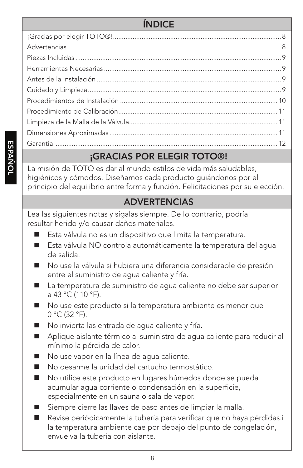# ÍNDICE

# ¡GRACIAS POR ELEGIR TOTO®!

La misión de TOTO es dar al mundo estilos de vida más saludables, higiénicos y cómodos. Diseñamos cada producto guiándonos por el principio del equilibrio entre forma y función. Felicitaciones por su elección.

#### ADVERTENCIAS

Lea las siguientes notas y sígalas siempre. De lo contrario, podría resultar herido y/o causar daños materiales.

- Esta válvula no es un dispositivo que limita la temperatura.
- Esta válvula NO controla automáticamente la temperatura del agua de salida.
- No use la válvula si hubiera una diferencia considerable de presión entre el suministro de agua caliente y fría.
- La temperatura de suministro de agua caliente no debe ser superior a 43 °C (110 °F).
- No use este producto si la temperatura ambiente es menor que 0 °C (32 °F).
- No invierta las entrada de aqua caliente y fría.
- Aplique aislante térmico al suministro de agua caliente para reducir al mínimo la pérdida de calor.
- No use vapor en la línea de agua caliente.
- No desarme la unidad del cartucho termostático.
- No utilice este producto en lugares húmedos donde se pueda acumular agua corriente o condensación en la superficie, especialmente en un sauna o sala de vapor.
- Siempre cierre las llaves de paso antes de limpiar la malla.
- Revise periódicamente la tubería para verificar que no haya pérdidas.i la temperatura ambiente cae por debajo del punto de congelación, envuelva la tubería con aislante.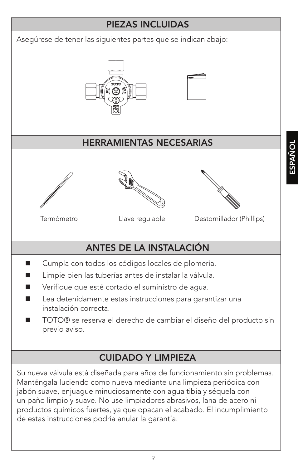#### PIEZAS INCLUIDAS

Asegúrese de tener las siguientes partes que se indican abajo:





#### HERRAMIENTAS NECESARIAS







Termómetro Llave regulable Destornillador (Phillips) Las signientes notas y sígnas y sígnas y sígalas signien

# ANTES DE LA INSTALACIÓN

- Cumpla con todos los códigos locales de plomería.
- Limpie bien las tuberías antes de instalar la válvula.
- Verifique que esté cortado el suministro de agua.
- Lea detenidamente estas instrucciones para garantizar una instalación correcta.
- TOTO® se reserva el derecho de cambiar el diseño del producto sin previo aviso.

#### CUIDADO Y LIMPIEZA

Su nueva válvula está diseñada para años de funcionamiento sin problemas. Manténgala luciendo como nueva mediante una limpieza periódica con jabón suave, enjuague minuciosamente con agua tibia y séquela con un paño limpio y suave. No use limpiadores abrasivos, lana de acero ni productos químicos fuertes, ya que opacan el acabado. El incumplimiento de estas instrucciones podría anular la garantía.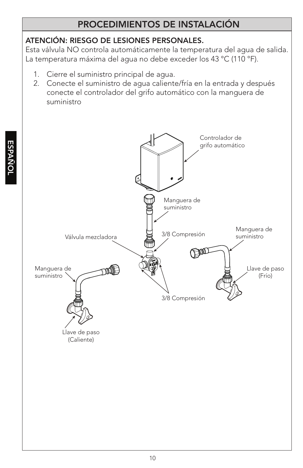#### PROCEDIMIENTOS DE INSTALACIÓN

#### ATENCIÓN: RIESGO DE LESIONES PERSONALES.

Esta válvula NO controla automáticamente la temperatura del agua de salida. La temperatura máxima del agua no debe exceder los 43 °C (110 °F).

- 1. Cierre el suministro principal de agua.
- 2. Conecte el suministro de agua caliente/fría en la entrada y después conecte el controlador del grifo automático con la manguera de suministro

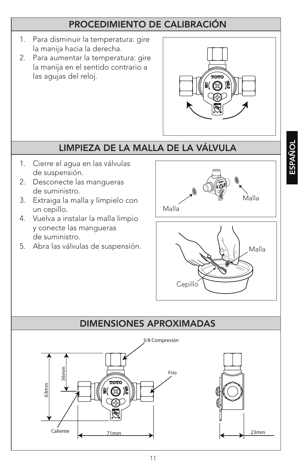#### PROCEDIMIENTO DE CALIBRACIÓN

- 1. Para disminuir la temperatura: gire la manija hacia la derecha.
- 2. Para aumentar la temperatura: gire la manija en el sentido contrario a las agujas del reloj.



#### LIMPIEZA DE LA MALLA DE LA VÁLVULA

- 1. Cierre el agua en las válvulas de suspensión.
- 2. Desconecte las mangueras de suministro.
- 3. Extraiga la malla y límpielo con un cepillo.
- 4. Vuelva a instalar la malla limpio y conecte las mangueras de suministro.
- 5. Abra las válvulas de suspensión.



**ESPAÑOL** 



# DIMENSIONES APROXIMADAS 3/8 Compresión 36mm 63mm 71mm 23mm Frío Caliente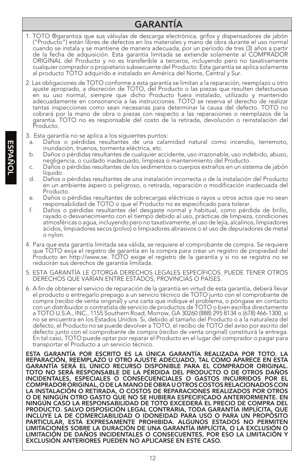#### GARANTÍA

- 1. TOTO ®garantiza que sus válvulas de descarga electrónica, grifos y dispensadores de jabón ("Producto") están libres de defectos en los materiales y mano de obra durante el uso normal cuando se instala y se mantiene de manera adecuada, por un período de tres (3) años a partir de la fecha de adquisición. Esta garantía limitada se extiende solamente al COMPRADOR ORIGINAL del Producto y no es transferible a terceros, incluyendo pero no taxativamente cualquier comprador o propietario subsecuente del Producto. Esta garantía se aplica solamente al producto TOTO adquirido e instalado en América del Norte, Central y Sur.
- 2. Las obligaciones de TOTO conforme a esta garantía se limitan a la reparación, reemplazo u otro ajuste apropiado, a discreción de TOTO, del Producto o las piezas que resulten defectuosas en su uso normal, siempre que dicho Producto fuera instalado, utilizado y mantenido adecuadamente en consonancia a las instrucciones. TOTO se reserva el derecho de realizar tantas inspecciones como sean necesarias para determinar la causa del defecto. TOTO no cobrará por la mano de obra o piezas con respecto a las reparaciones o reemplazos de la garantía. TOTO no es responsable del costo de la retirada, devolución o reinstalación del Producto.
- 3. Esta garantía no se aplica a los siguientes puntos:
	- a. Daños o pérdidas resultantes de una calamidad natural como incendio, terremoto, inundación, truenos, tormenta eléctrica, etc.
	- b. Daños o pérdidas resultantes de cualquier accidente, uso irrazonable, uso indebido, abuso, negligencia, o cuidado inadecuado, limpieza o mantenimiento del Producto.
	- c. Daños o pérdidas resultantes de los sedimentos o cuerpos extraños en un sistema de jabón líquido.
	- d. Daños o pérdidas resultantes de una instalación incorrecta o de la instalación del Producto en un ambiente áspero o peligroso, o retirada, reparación o modificación inadecuada del Producto.
	- e. Daños o pérdidas resultantes de sobrecargas eléctricas o rayos u otros actos que no sean responsabilidad de TOTO o que el Producto no es especificado para tolerar.
	- f. Daños o pérdidas resultantes del desgaste normal y habitual, como pérdida de brillo, rayado o desvanecimiento con el tiempo debido al uso, prácticas de limpieza, condiciones atmosféricas o agua, incluyendo pero no taxativamente, el uso de lejía, alcalinos, limpiadores ácidos, limpiadores secos (polvo) o limpiadores abrasivos o el uso de depuradores de metal o nylon.
- 4. Para que esta garantía limitada sea válida, se requiere el comprobante de compra. Se requiere que TOTO exija el registro de garantía en la compra para crear un registro de propiedad del Producto en http://www.se. TOTO exige el registro de la garantía y si no se registra no se reducirán sus derechos de garantía limitada.
- 5. ESTA GARANTÍA LE OTORGA DERECHOS LEGALES ESPECÍFICOS. PUEDE TENER OTROS DERECHOS QUE VARÍAN ENTRE ESTADOS, PROVINCIAS O PAÍSES.
- 6. A fin de obtener el servicio de reparación de la garantía en virtud de esta garantía, deberá llevar el producto o entregarlo prepago a un servicio técnico de TOTO junto con el comprobante de compra (recibo de venta original) y una carta que indique el problema, o póngase en contacto con un distribuidor o contratista de servicio de productos de TOTO o bien escriba directamente a TOTO U.S.A., INC., 1155 Southern Road, Morrow, GA 30260 (888) 295 8134 o (678) 466-1300, si no se encuentra en los Estados Unidos. Si, debido al tamaño del Producto o a la naturaleza del defecto, el Producto no se puede devolver a TOTO, el recibo de TOTO del aviso por escrito del defecto junto con el comprobante de compra (recibo de venta original) constituirá la entrega. En tal caso, TOTO puede optar por reparar el Producto en el lugar del comprador o pagar para transportar el Producto a un servicio técnico.

ESTA GARANTÍA POR ESCRITO ES LA ÚNICA GARANTÍA REALIZADA POR TOTO. LA REPARACIÓN, REEMPLAZO U OTRO AJUSTE ADECUADO, TAL COMO APARECE EN ESTA GARANTÍA SERÁ EL ÚNICO RECURSO DISPONIBLE PARA EL COMPRADOR ORIGINAL. TOTO NO SERÁ RESPONSABLE DE LA PÉRDIDA DEL PRODUCTO O DE OTROS DAÑOS INCIDENTALES, ESPECIALES O CONSECUENCIALES O GASTOS INCURRIDOS POR EL COMPRADOR ORIGINAL, O DE LA MANO DE OBRA U OTROS COSTOS RELACIONADOS CON LA INSTALACIÓN O RETIRADA, O COSTOS DE REPARACIONES REALIZADOS POR OTROS O DE NINGÚN OTRO GASTO QUE NO SE HUBIERA ESPECIFICADO ANTERIORMENTE. EN NINGÚN CASO LA RESPONSABILIDAD DE TOTO EXCEDERÁ EL PRECIO DE COMPRA DEL PRODUCTO. SALVO DISPOSICIÓN LEGAL CONTRARIA, TODA GARANTÍA IMPLÍCITA, QUE INCLUYE LA DE COMERCIABILIDAD O IDONEIDAD PARA USO O PARA UN PROPÓSITO PARTICULAR, ESTÁ EXPRESAMENTE PROHIBIDA. ALGUNOS ESTADOS NO PERMITEN LIMITACIONES SOBRE LA DURACIÓN DE UNA GARANTÍA IMPLÍCITA, O LA EXCLUSIÓN O LIMITACIÓN DE DAÑOS INCIDENTALES O CONSECUENTES, POR ESO LA LIMITACIÓN Y EXCLUSIÓN ANTERIORES PUEDEN NO APLICARSE EN ESTE CASO.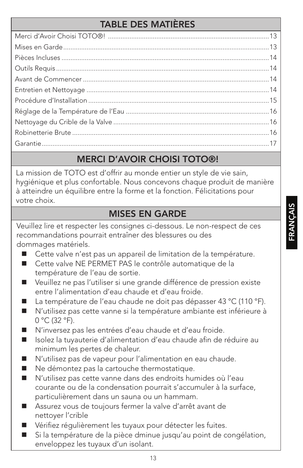#### TABLE DES MATIÈRES

#### MERCI D'AVOIR CHOISI TOTO®!

La mission de TOTO est d'offrir au monde entier un style de vie sain, hygiénique et plus confortable. Nous concevons chaque produit de manière à atteindre un équilibre entre la forme et la fonction. Félicitations pour votre choix.

#### MISES EN GARDE

Veuillez lire et respecter les consignes ci-dessous. Le non-respect de ces recommandations pourrait entraîner des blessures ou des dommages matériels.

- Cette valve n'est pas un appareil de limitation de la température.
- Cette valve NE PERMET PAS le contrôle automatique de la température de l'eau de sortie.
- Veuillez ne pas l'utiliser si une grande différence de pression existe entre l'alimentation d'eau chaude et d'eau froide.
- La température de l'eau chaude ne doit pas dépasser 43 °C (110 °F).
- N'utilisez pas cette vanne si la température ambiante est inférieure à 0 °C (32 °F).
- N'inversez pas les entrées d'eau chaude et d'eau froide.
- Isolez la tuyauterie d'alimentation d'eau chaude afin de réduire au minimum les pertes de chaleur.
- N'utilisez pas de vapeur pour l'alimentation en eau chaude.
- Ne démontez pas la cartouche thermostatique.
- N'utilisez pas cette vanne dans des endroits humides où l'eau courante ou de la condensation pourrait s'accumuler à la surface, particulièrement dans un sauna ou un hammam.
- Assurez vous de toujours fermer la valve d'arrêt avant de nettoyer l'crible
- Vérifiez régulièrement les tuyaux pour détecter les fuites.
- Si la température de la pièce dminue jusqu'au point de congélation, enveloppez les tuyaux d'un isolant.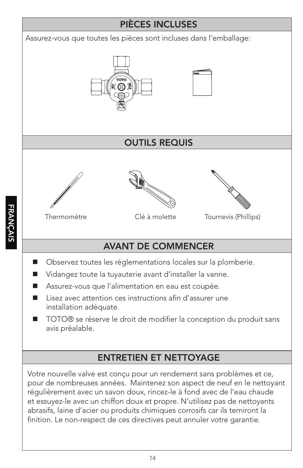#### PIÈCES INCLUSES

Assurez-vous que toutes les pièces sont incluses dans l'emballage:





#### OUTILS REQUIS







Tournevis (Phillips)

# AVANT DE COMMENCER

- Observez toutes les réglementations locales sur la plomberie.
- Vidangez toute la tuyauterie avant d'installer la vanne.
- Assurez-vous que l'alimentation en eau est coupée.

Thermomètre Clé à molette

- $\blacksquare$  Lisez avec attention ces instructions afin d'assurer une installation adéquate.
- TOTO® se réserve le droit de modifier la conception du produit sans avis préalable.

# ENTRETIEN ET NETTOYAGE

Votre nouvelle valve est conçu pour un rendement sans problèmes et ce, pour de nombreuses années. Maintenez son aspect de neuf en le nettoyant régulièrement avec un savon doux, rincez-le à fond avec de l'eau chaude et essuyez-le avec un chiffon doux et propre. N'utilisez pas de nettoyants abrasifs, laine d'acier ou produits chimiques corrosifs car ils terniront la finition. Le non-respect de ces directives peut annuler votre garantie.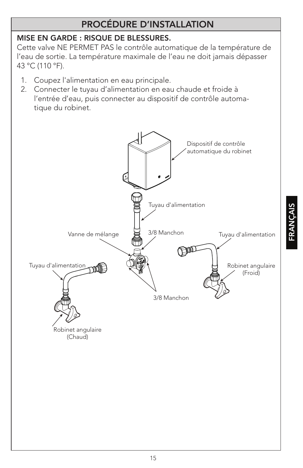#### PROCÉDURE D'INSTALLATION

#### MISE EN GARDE : RISQUE DE BLESSURES.

Cette valve NE PERMET PAS le contrôle automatique de la température de l'eau de sortie. La température maximale de l'eau ne doit jamais dépasser 43 °C (110 °F).

- 1. Coupez l'alimentation en eau principale.
- 2. Connecter le tuyau d'alimentation en eau chaude et froide à l'entrée d'eau, puis connecter au dispositif de contrôle automatique du robinet.

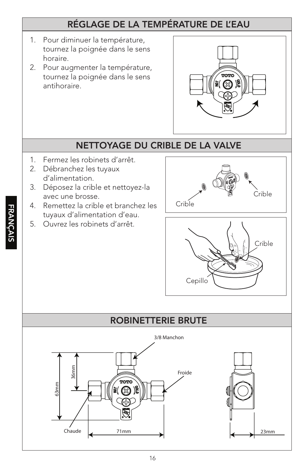#### RÉGLAGE DE LA TEMPÉRATURE DE L'EAU

- 1. Pour diminuer la température, tournez la poignée dans le sens horaire.
- 2. Pour augmenter la température, tournez la poignée dans le sens antihoraire.



#### NETTOYAGE DU CRIBLE DE LA VALVE

- 1. Fermez les robinets d'arrêt.
- 2. Débranchez les tuyaux d'alimentation.
- 3. Déposez la crible et nettoyez-la avec une brosse.
- 4. Remettez la crible et branchez les tuyaux d'alimentation d'eau.
- 5. Ouvrez les robinets d'arrêt.





#### ROBINETTERIE BRUTE

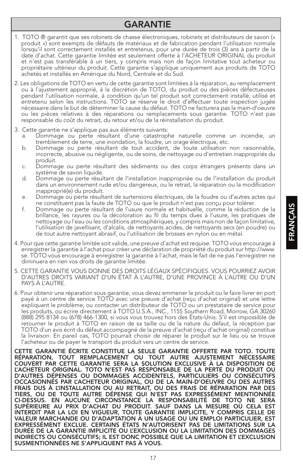#### GARANTIE

- 1. TOTO ® garantit que ses robinets de chasse électroniques, robinets et distributeurs de savon (« produit ») sont exempts de défauts de matériaux et de fabrication pendant l'utilisation normale lorsqu'il sont correctement installés et entretenus, pour une durée de trois (3) ans à partir de la date d'achat. Cette garantie limitée est seulement offerte à l'ACHETEUR ORIGINAL du produit et n'est pas transférable à un tiers, y compris mais non de façon limitative tout acheteur ou propriétaire ultérieur du produit. Cette garantie s'applique uniquement aux produits de TOTO achetés et installés en Amérique du Nord, Centrale et du Sud.
- 2. Les obligations de TOTO en vertu de cette garantie sont limitées à la réparation, au remplacement ou à l'ajustement approprié, à la discrétion de TOTO, du produit ou des pièces défectueuses pendant l'utilisation normale, à condition qu'un tel produit soit correctement installé, utilisé et entretenu selon les instructions. TOTO se réserve le droit d'effectuer toute inspection jugée nécessaire dans le but de déterminer la cause du défaut. TOTO ne facturera pas la main-d'oeuvre ou les pièces relatives à des réparations ou remplacements sous garantie. TOTO n'est pas responsable du coût du retrait, du retour et/ou de la réinstallation du produit.
- 3. Cette garantie ne s'applique pas aux éléments suivants:
	- a. Dommage ou perte résultant d'une catastrophe naturelle comme un incendie, un tremblement de terre, une inondation, la foudre, un orage électrique, etc.
	- b. Dommage ou perte résultant de tout accident, de toute utilisation non raisonnable, incorrecte, abusive ou négligente, ou de soins, de nettoyage ou d'entretien inappropriés du produit.
	- c. Dommage ou perte résultant des sédiments ou des corps étrangers présents dans un système de savon liquide.
	- d. Dommage ou perte résultant de l'installation inappropriée ou de l'installation du produit dans un environnement rude et/ou dangereux, ou le retrait, la réparation ou la modification inapproprié(e) du produit.
	- e. Dommage ou perte résultant de surtensions électriques, de la foudre ou d'autres actes qui ne constituent pas la faute de TOTO ou que le produit n'est pas conçu pour tolérer.
	- f. Dommage ou perte résultant de l'usure normale et habituelle, comme la réduction de la brillance, les rayures ou la décoloration au fil du temps dues à l'usure, les pratiques de nettoyage ou l'eau ou les conditions atmosphériques, y compris mais non de façon limitative, l'utilisation de javellisant, d'alcalis, de nettoyants acides, de nettoyants secs (en poudre) ou de tout autre nettoyant abrasif, ou l'utilisation de brosses en nylon ou en métal.
- 4. Pour que cette garantie limitée soit valide, une preuve d'achat est requise. TOTO vous encourage à enregistrer la garantie à l'achat pour créer une déclaration de propriété du produit sur http://www. se. TOTO vous encourage à enregistrer la garantie à l'achat, mais le fait de ne pas l'enregistrer ne diminuera en rien vos droits de garantie limitée.
- 5. CETTE GARANTIE VOUS DONNE DES DROITS LÉGAUX SPÉCIFIQUES. VOUS POURRIEZ AVOIR D'AUTRES DROITS VARIANT D'UN ÉTAT À L'AUTRE, D'UNE PROVINCE À L'AUTRE OU D'UN PAYS À L'AUTRE.
- 6. Pour obtenir une réparation sous garantie, vous devez emmener le produit ou le faire livrer en port payé à un centre de service TOTO avec une preuve d'achat (reçu d'achat original) et une lettre expliquant le problème, ou contacter un distributeur de TOTO ou un prestataire de service pour les produits, ou écrire directement à TOTO U.S.A., INC., 1155 Southern Road, Morrow, GA 30260 (888) 295 8134 ou (678) 466-1300, si vous vous trouvez hors des États-Unis. S'il est impossible de retourner le produit à TOTO en raison de sa taille ou de la nature du défaut, la réception par TOTO d'un avis écrit du défaut accompagné de la preuve d'achat (reçu d'achat original) constitue la livraison. En pareil cas, TOTO pourrait choisir de réparer le produit sur le lieu où se trouve l'acheteur ou de payer le transport du produit vers un centre de service.

CETTE GARANTIE ÉCRITE CONSTITUE LA SEULE GARANTIE OFFERTE PAR TOTO. TOUTE RÉPARATION, TOUT REMPLACEMENT OU TOUT AUTRE AJUSTEMENT NÉCESSAIRE COUVERT PAR CETTE GARANTIE SERA LA SOLUTION EXCLUSIVE À LA DISPOSITION DE L'ACHETEUR ORIGINAL. TOTO N'EST PAS RESPONSABLE DE LA PERTE DU PRODUIT OU D'AUTRES DÉPENSES OU DOMMAGES ACCIDENTELS, PARTICULIERS OU CONSÉCUTIFS OCCASIONNÉS PAR L'ACHETEUR ORIGINAL, OU DE LA MAIN-D'OEUVRE OU DES AUTRES FRAIS DUS À L'INSTALLATION OU AU RETRAIT, OU DES FRAIS DE RÉPARATION PAR DES TIERS, OU DE TOUTE AUTRE DÉPENSE QUI N'EST PAS EXPRESSÉMENT MENTIONNÉE CI-DESSUS. EN AUCUNE CIRCONSTANCE LA RESPONSABILITÉ DE TOTO NE SERA SUPÉRIEURE AU PRIX D'ACHAT DU PRODUIT. SAUF DANS LA MESURE OÙ CELA EST INTERDIT PAR LA LOI EN VIGUEUR, TOUTE GARANTIE IMPLICITE, Y COMPRIS CELLE DE VALEUR MARCHANDE OU D'ADAPTATION À UN USAGE OU UN EMPLOI PARTICULIER, EST EXPRESSÉMENT EXCLUE. CERTAINS ÉTATS N'AUTORISENT PAS DE LIMITATIONS SUR LA DURÉE DE LA GARANTIE IMPLICITE OU L'EXCLUSION OU LA LIMITATION DES DOMMAGES INDIRECTS OU CONSÉCUTIFS; IL EST DONC POSSIBLE QUE LA LIMITATION ET L'EXCLUSION SUSMENTIONNÉES NE S'APPLIQUENT PAS À VOUS.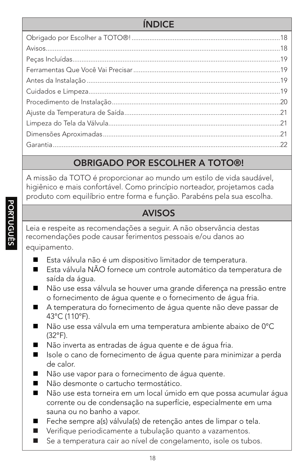#### ÍNDICE

# OBRIGADO POR ESCOLHER A TOTO®!

A missão da TOTO é proporcionar ao mundo um estilo de vida saudável, higiênico e mais confortável. Como princípio norteador, projetamos cada produto com equilíbrio entre forma e função. Parabéns pela sua escolha.

#### AVISOS

Leia e respeite as recomendações a seguir. A não observância destas recomendações pode causar ferimentos pessoais e/ou danos ao equipamento.

- Esta válvula não é um dispositivo limitador de temperatura.
- Esta válvula NÃO fornece um controle automático da temperatura de saída da água.
- Não use essa válvula se houver uma grande diferença na pressão entre o fornecimento de água quente e o fornecimento de água fria.
- A temperatura do fornecimento de água quente não deve passar de 43°C (110°F).
- Não use essa válvula em uma temperatura ambiente abaixo de 0°C (32°F).
- Não inverta as entradas de água quente e de água fria.
- Isole o cano de fornecimento de água quente para minimizar a perda de calor.
- Não use vapor para o fornecimento de água quente.
- Não desmonte o cartucho termostático.
- Não use esta torneira em um local úmido em que possa acumular água corrente ou de condensação na superfície, especialmente em uma sauna ou no banho a vapor.
- Feche sempre a(s) válvula(s) de retenção antes de limpar o tela.
- Verifique periodicamente a tubulação quanto a vazamentos.
- Se a temperatura cair ao nível de congelamento, isole os tubos.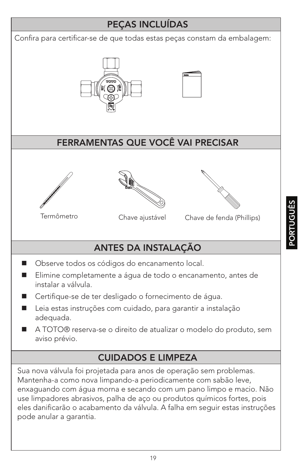#### PEÇAS INCLUÍDAS

Confira para certificar-se de que todas estas peças constam da embalagem:





#### FERRAMENTAS QUE VOCÊ VAI PRECISAR







Chave de fenda (Phillips)

# ANTES DA INSTALAÇÃO

- Observe todos os códigos do encanamento local.
- Elimine completamente a água de todo o encanamento, antes de instalar a válvula.
- Certifique-se de ter desligado o fornecimento de água.
- Leia estas instruções com cuidado, para garantir a instalação adequada.
- A TOTO® reserva-se o direito de atualizar o modelo do produto, sem aviso prévio.

#### CUIDADOS E LIMPEZA

Sua nova válvula foi projetada para anos de operação sem problemas. Mantenha-a como nova limpando-a periodicamente com sabão leve, enxaguando com água morna e secando com um pano limpo e macio. Não use limpadores abrasivos, palha de aço ou produtos químicos fortes, pois eles danificarão o acabamento da válvula. A falha em seguir estas instruções pode anular a garantia.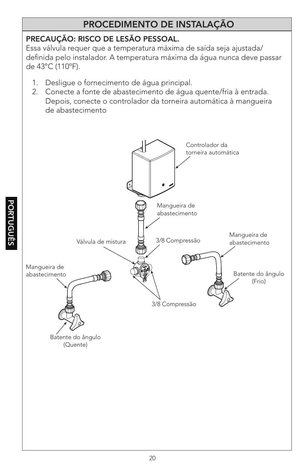#### PROCEDIMENTO DE INSTALAÇÃO

#### PRECAUÇÃO: RISCO DE LESÃO PESSOAL.

Essa válvula requer que a temperatura máxima de saída seja ajustada/ definida pelo instalador. A temperatura máxima da água nunca deve passar de 43°C (110ºF).

- 1. Desligue o fornecimento de água principal.
- 2. Conecte a fonte de abastecimento de água quente/fria à entrada. Depois, conecte o controlador da torneira automática à mangueira de abastecimento

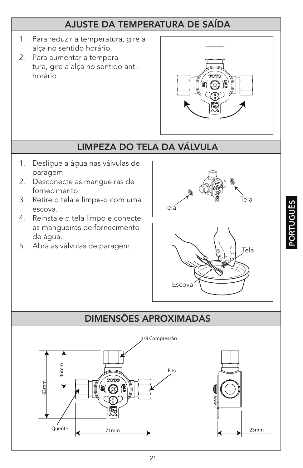#### AJUSTE DA TEMPERATURA DE SAÍDA

- 1. Para reduzir a temperatura, gire a alça no sentido horário.
- 2. Para aumentar a temperatura, gire a alça no sentido antihorário



# LIMPEZA DO TELA DA VÁLVULA

- 1. Desligue a água nas válvulas de paragem.
- 2. Desconecte as mangueiras de fornecimento.
- 3. Retire o tela e limpe-o com uma escova.
- 4. Reinstale o tela limpo e conecte as mangueiras de fornecimento de água.
- 5. Abra as válvulas de paragem.  $\left[\begin{array}{cc} \searrow & \searrow \\ \searrow & \searrow \end{array}\right]_{\text{Tela}}$





# DIMENSÕES APROXIMADAS



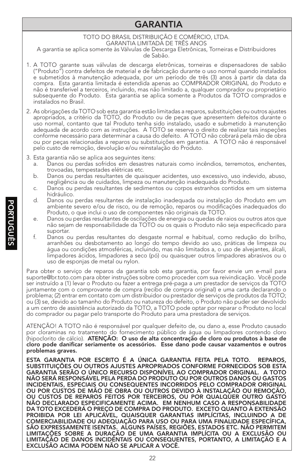#### GARANTIA

#### TOTO DO BRASIL DISTRIBUIÇÃO E COMÉRCIO, LTDA. GARANTIA LIMITADÁ DE TRÊS ANOS A garantia se aplica somente às Válvulas de Descarga Eletrônicas, Torneiras e Distribuidores

de Sabão.

- 1. A TOTO garante suas válvulas de descarga eletrônicas, torneiras e dispensadores de sabão ("Produto") contra defeitos de material e de fabricação durante o uso normal quando instalados e submetidos à manutenção adequada, por um período de três (3) anos à partir da data da compra. Esta garantia limitada é estendida apenas ao COMPRADOR ORIGINAL do Produto e não é transferível a terceiros, incluindo, mas não limitado a, qualquer comprador ou proprietário subsequente do Produto. Esta garantia se aplica somente a Produtos da TOTO comprados e instalados no Brasil.
- 2. As obrigações da TOTO sob esta garantia estão limitadas a reparos, substituições ou outros ajustes apropriados, a critério da TOTO, do Produto ou de peças que apresentem defeitos durante o uso normal, contanto que tal Produto tenha sido instalado, usado e submetido à manutenção adequada de acordo com as instruções. A TOTO se reserva o direito de realizar tais inspeções conforme necessário para determinar a causa do defeito. A TOTO não cobrará pela mão de obra ou por peças relacionadas a reparos ou substituições em garantia. A TOTO não é responsável pelo custo de remoção, devolução e/ou reinstalação do Produto.
- 3. Esta garantia não se aplica aos seguintes itens:
	- a. Danos ou perdas sofridos em desastres naturais como incêndios, terremotos, enchentes, trovoadas, tempestades elétricas etc.
	- b. Danos ou perdas resultantes de quaisquer acidentes, uso excessivo, uso indevido, abuso, negligência ou de cuidados, limpeza ou manutenção inadequada do Produto.
	- c. Danos ou perdas resultantes de sedimentos ou corpos estranhos contidos em um sistema hidráulico.
	- d. Danos ou perdas resultantes de instalação inadequada ou instalação do Produto em um ambiente severo e/ou de risco, ou de remoção, reparos ou modificações inadequados do Produto, o que inclui o uso de componentes não originais da TOTO.
	- e. Danos ou perdas resultantes de oscilações de energia ou quedas de raios ou outros atos que não sejam de responsabilidade da TOTO ou os quais o Produto não seja especificado para suportar.
	- f. Danos ou perdas resultantes do desgaste normal e habitual, como redução do brilho, arranhões ou desbotamento ao longo do tempo devido ao uso, práticas de limpeza ou água ou condições atmosféricas, incluindo, mas não limitados a, o uso de alvejantes, álcali, limpadores ácidos, limpadores a seco (pó) ou quaisquer outros limpadores abrasivos ou o uso de esponjas de metal ou nylon.

Para obter o serviço de reparos da garantia sob esta garantia, por favor envie um e-mail para suporte@br.toto.com para obter instruções sobre como proceder com sua reivindicação. Você pode ser instruído a (1) levar o Produto ou fazer a entrega pré-paga a um prestador de serviços da TOTO juntamente com o comprovante de compra (recibo de compra original) e uma carta declarando o problema; (2) entrar em contato com um distribuidor ou prestador de serviços de produtos da TOTO; ou (3) se, devido ao tamanho do Produto ou natureza do defeito, o Produto não puder ser devolvido a um centro de assistência autorizado da TOTO, a TOTO pode optar por reparar o Produto no local do comprador ou pagar pelo transporte do Produto para uma prestadora de serviços.

ATENÇÃO! A TOTO não é responsável por qualquer defeito de, ou dano a, esse Produto causado por cloraminas no tratamento do fornecimento público de água ou limpadores contendo cloro (hipoclorito de cálcio). ATENÇÃO: O uso de alta concentração de cloro ou produtos à base de cloro pode danificar seriamente os acessórios. Esse dano pode causar vazamentos e outros problemas graves.

ESTA GARANTIA POR ESCRITO É A ÚNICA GARANTIA FEITA PELA TOTO. REPAROS, SUBSTITUIÇÕES OU OUTROS AJUSTES APROPRIADOS CONFORME FORNECIDOS SOB ESTA GARANTIA SERÃO O ÚNICO RECURSO DISPONÍVEL AO COMPRADOR ORIGINAL. A TOTO NÃO SERÁ RESPONSÁVEL PELA PERDA DO PRODUTO OU POR OUTROS DANOS OU GASTOS INCIDENTAIS, ESPECIAIS OU CONSEQUENTES INCORRIDOS PELO COMPRADOR ORIGINAL OU POR CUSTOS DE MÃO DE OBRA OU OUTROS DEVIDO À INSTALAÇÃO OU REMOÇÃO, OU CUSTOS DE REPAROS FEITOS POR TERCEIROS, OU POR QUALQUER OUTRO GASTO NÃO DECLARADO ESPECIFICAMENTE ACIMA. EM NENHUM CASO A RESPONSABILIDADE DA TOTO EXCEDERÁ O PREÇO DE COMPRA DO PRODUTO. EXCETO QUANTO À EXTENSÃO PROIBIDA POR LEI APLICÁVEL, QUAISQUER GARANTIAS IMPLÍCITAS, INCLUINDO A DE COMERCIABILIDADE OU ADEQUAÇÃO PARA USO OU PARA UMA FINALIDADE ESPECÍFICA, SÃO EXPRESSAMENTE ISENTAS. ALGUNS PAÍSES, REGIÕES, ESTADOS ETC. NÃO PERMITEM LIMITAÇÕES SOBRE A DURAÇÃO DE UMA GARANTIA IMPLÍCITA OU A EXCLUSÃO OU LIMITAÇÃO DE DANOS INCIDENTAIS OU CONSEQUENTES, PORTANTO, A LIMITAÇÃO E A EXCLUSÃO ACIMA PODEM NÃO SE APLICAR A VOCÊ.